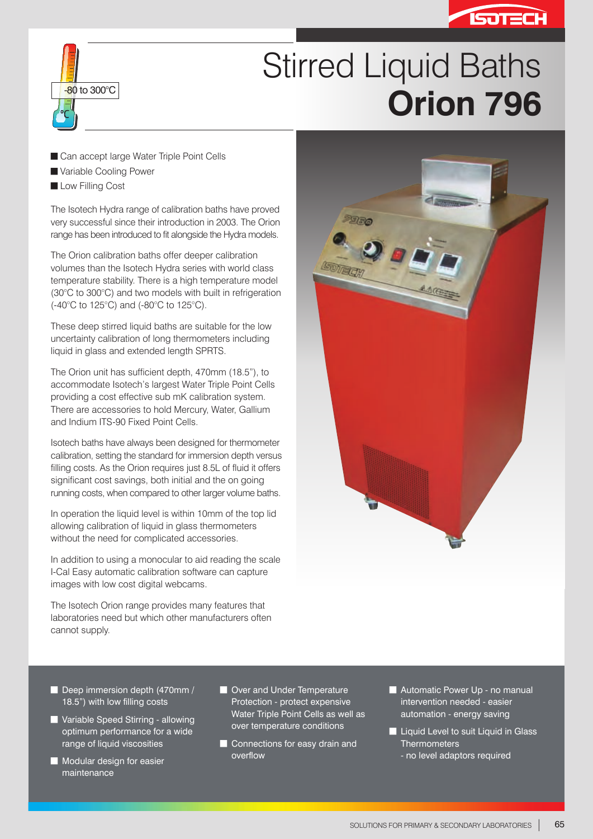



## Stirred Liquid Baths **Consider the Set to 300°C Consider the Constant of Table 1996**

- Can accept large Water Triple Point Cells
- Variable Cooling Power
- **Low Filling Cost**

The Isotech Hydra range of calibration baths have proved very successful since their introduction in 2003. The Orion range has been introduced to fit alongside the Hydra models.

The Orion calibration baths offer deeper calibration volumes than the Isotech Hydra series with world class temperature stability. There is a high temperature model (30°C to 300°C) and two models with built in refrigeration (-40°C to 125°C) and (-80°C to 125°C).

These deep stirred liquid baths are suitable for the low uncertainty calibration of long thermometers including liquid in glass and extended length SPRTS.

The Orion unit has sufficient depth, 470mm (18.5"), to accommodate Isotech's largest Water Triple Point Cells providing a cost effective sub mK calibration system. There are accessories to hold Mercury, Water, Gallium and Indium ITS-90 Fixed Point Cells.

Isotech baths have always been designed for thermometer calibration, setting the standard for immersion depth versus filling costs. As the Orion requires just 8.5L of fluid it offers significant cost savings, both initial and the on going running costs, when compared to other larger volume baths.

In operation the liquid level is within 10mm of the top lid allowing calibration of liquid in glass thermometers without the need for complicated accessories.

In addition to using a monocular to aid reading the scale I-Cal Easy automatic calibration software can capture images with low cost digital webcams.

The Isotech Orion range provides many features that laboratories need but which other manufacturers often cannot supply.



- Deep immersion depth (470mm / 18.5") with low filling costs
- **Variable Speed Stirring allowing** optimum performance for a wide range of liquid viscosities
- $\blacksquare$  Modular design for easier maintenance
- **Over and Under Temperature** Protection - protect expensive Water Triple Point Cells as well as over temperature conditions
- Connections for easy drain and overflow
- Automatic Power Up no manual intervention needed - easier automation - energy saving
- **E** Liquid Level to suit Liquid in Glass **Thermometers** - no level adaptors required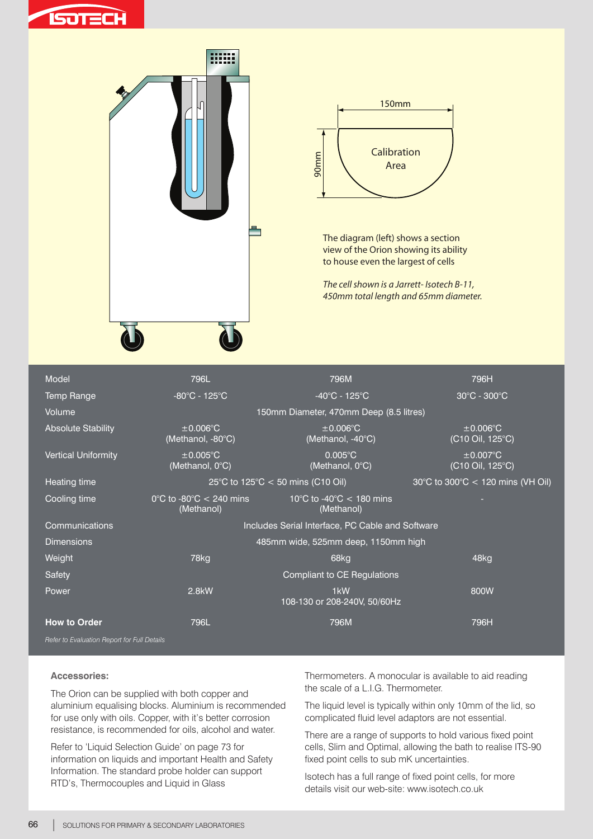





The diagram (left) shows a section view of the Orion showing its ability to house even the largest of cells

*The cell shown is a Jarrett- Isotech B-11, 450mm total length and 65mm diameter.* 

| Model                      | 796L                                                         | 796M                                                       | 796H                               |  |  |  |  |  |
|----------------------------|--------------------------------------------------------------|------------------------------------------------------------|------------------------------------|--|--|--|--|--|
| <b>Temp Range</b>          | $-80^{\circ}$ C - 125 $^{\circ}$ C                           | $-40^{\circ}$ C - 125 $^{\circ}$ C                         | 30°C - 300°C                       |  |  |  |  |  |
| Volume                     | 150mm Diameter, 470mm Deep (8.5 litres)                      |                                                            |                                    |  |  |  |  |  |
| <b>Absolute Stability</b>  | $\pm 0.006$ °C<br>(Methanol, -80°C)                          | $\pm 0.006$ °C<br>(Methanol, -40°C)                        | $\pm 0.006$ °C<br>(C10 Oil, 125°C) |  |  |  |  |  |
| <b>Vertical Uniformity</b> | $\pm 0.005$ °C<br>(Methanol, 0°C)                            | $0.005^{\circ}$ C<br>(Methanol, 0°C)                       | $\pm 0.007$ °C<br>(C10 Oil, 125°C) |  |  |  |  |  |
| Heating time               | 25°C to 125°C < 50 mins (C10 Oil)                            | 30°C to 300°C < 120 mins (VH Oil)                          |                                    |  |  |  |  |  |
| Cooling time               | $0^{\circ}$ C to -80 $^{\circ}$ C $<$ 240 mins<br>(Methanol) | 10 $\degree$ C to -40 $\degree$ C < 180 mins<br>(Methanol) |                                    |  |  |  |  |  |
| Communications             | Includes Serial Interface, PC Cable and Software             |                                                            |                                    |  |  |  |  |  |
| <b>Dimensions</b>          | 485mm wide, 525mm deep, 1150mm high                          |                                                            |                                    |  |  |  |  |  |
| Weight                     | 78kg                                                         | 68kg                                                       | 48kg                               |  |  |  |  |  |
| Safety                     |                                                              | <b>Compliant to CE Regulations</b>                         |                                    |  |  |  |  |  |
| Power                      | 2.8kW                                                        | 1 <sub>k</sub> W<br>108-130 or 208-240V, 50/60Hz           | 800W                               |  |  |  |  |  |
| <b>How to Order</b>        | 796L                                                         | 796M                                                       | 796H                               |  |  |  |  |  |
| ___________                |                                                              |                                                            |                                    |  |  |  |  |  |

*Refer to Evaluation Report for Full Details*

## **Accessories:**

The Orion can be supplied with both copper and aluminium equalising blocks. Aluminium is recommended for use only with oils. Copper, with it's better corrosion resistance, is recommended for oils, alcohol and water.

Refer to 'Liquid Selection Guide' on page 73 for information on liquids and important Health and Safety Information. The standard probe holder can support RTD's, Thermocouples and Liquid in Glass

Thermometers. A monocular is available to aid reading the scale of a L.I.G. Thermometer.

The liquid level is typically within only 10mm of the lid, so complicated fluid level adaptors are not essential.

There are a range of supports to hold various fixed point cells, Slim and Optimal, allowing the bath to realise ITS-90 fixed point cells to sub mK uncertainties.

Isotech has a full range of fixed point cells, for more details visit our web-site: www.isotech.co.uk